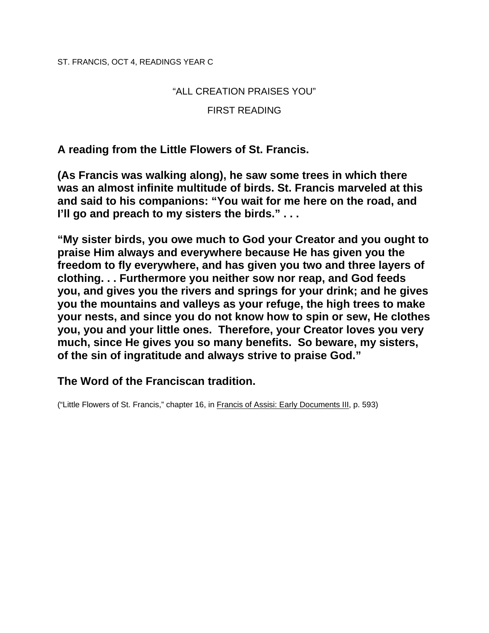ST. FRANCIS, OCT 4, READINGS YEAR C

## "ALL CREATION PRAISES YOU"

## FIRST READING

**A reading from the Little Flowers of St. Francis.** 

**(As Francis was walking along), he saw some trees in which there was an almost infinite multitude of birds. St. Francis marveled at this and said to his companions: "You wait for me here on the road, and I'll go and preach to my sisters the birds." . . .** 

**"My sister birds, you owe much to God your Creator and you ought to praise Him always and everywhere because He has given you the freedom to fly everywhere, and has given you two and three layers of clothing. . . Furthermore you neither sow nor reap, and God feeds you, and gives you the rivers and springs for your drink; and he gives you the mountains and valleys as your refuge, the high trees to make your nests, and since you do not know how to spin or sew, He clothes you, you and your little ones. Therefore, your Creator loves you very much, since He gives you so many benefits. So beware, my sisters, of the sin of ingratitude and always strive to praise God."** 

# **The Word of the Franciscan tradition.**

("Little Flowers of St. Francis," chapter 16, in Francis of Assisi: Early Documents III, p. 593)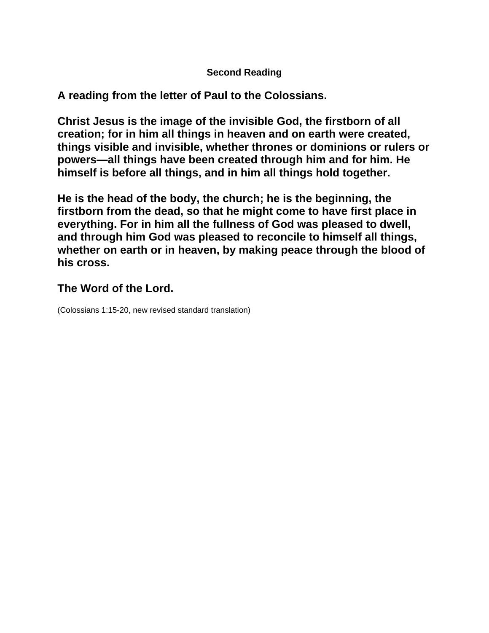## **Second Reading**

**A reading from the letter of Paul to the Colossians.** 

**Christ Jesus is the image of the invisible God, the firstborn of all creation; for in him all things in heaven and on earth were created, things visible and invisible, whether thrones or dominions or rulers or powers—all things have been created through him and for him. He himself is before all things, and in him all things hold together.** 

**He is the head of the body, the church; he is the beginning, the firstborn from the dead, so that he might come to have first place in everything. For in him all the fullness of God was pleased to dwell, and through him God was pleased to reconcile to himself all things, whether on earth or in heaven, by making peace through the blood of his cross.** 

# **The Word of the Lord.**

(Colossians 1:15-20, new revised standard translation)